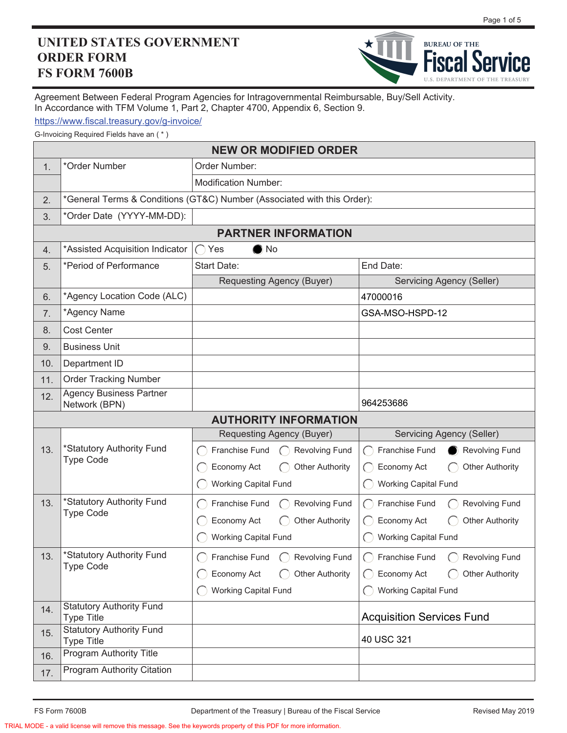## **UNITED STATES GOVERNMENT ORDER FORM FS FORM 7600B**



Agreement Between Federal Program Agencies for Intragovernmental Reimbursable, Buy/Sell Activity. In Accordance with TFM Volume 1, Part 2, Chapter 4700, Appendix 6, Section 9.

https://www.fiscal.treasury.gov/g-invoice/

G-Invoicing Required Fields have an ( \* )

|     | <b>NEW OR MODIFIED ORDER</b>                                            |                                                                                          |                                                 |  |  |  |  |  |  |  |
|-----|-------------------------------------------------------------------------|------------------------------------------------------------------------------------------|-------------------------------------------------|--|--|--|--|--|--|--|
| 1.  | *Order Number                                                           | Order Number:                                                                            |                                                 |  |  |  |  |  |  |  |
|     |                                                                         | <b>Modification Number:</b>                                                              |                                                 |  |  |  |  |  |  |  |
| 2.  | *General Terms & Conditions (GT&C) Number (Associated with this Order): |                                                                                          |                                                 |  |  |  |  |  |  |  |
| 3.  | *Order Date (YYYY-MM-DD):                                               |                                                                                          |                                                 |  |  |  |  |  |  |  |
|     | <b>PARTNER INFORMATION</b>                                              |                                                                                          |                                                 |  |  |  |  |  |  |  |
| 4.  | *Assisted Acquisition Indicator                                         | $\bigcap$ Yes<br>$\bullet$ No                                                            |                                                 |  |  |  |  |  |  |  |
| 5.  | *Period of Performance                                                  | <b>Start Date:</b>                                                                       | End Date:                                       |  |  |  |  |  |  |  |
|     |                                                                         | Requesting Agency (Buyer)                                                                | Servicing Agency (Seller)                       |  |  |  |  |  |  |  |
| 6.  | *Agency Location Code (ALC)                                             |                                                                                          | 47000016                                        |  |  |  |  |  |  |  |
| 7.  | *Agency Name                                                            |                                                                                          | GSA-MSO-HSPD-12                                 |  |  |  |  |  |  |  |
| 8.  | <b>Cost Center</b>                                                      |                                                                                          |                                                 |  |  |  |  |  |  |  |
| 9.  | <b>Business Unit</b>                                                    |                                                                                          |                                                 |  |  |  |  |  |  |  |
| 10. | Department ID                                                           |                                                                                          |                                                 |  |  |  |  |  |  |  |
| 11. | <b>Order Tracking Number</b>                                            |                                                                                          |                                                 |  |  |  |  |  |  |  |
| 12. | <b>Agency Business Partner</b><br>Network (BPN)                         |                                                                                          | 964253686                                       |  |  |  |  |  |  |  |
|     |                                                                         | <b>AUTHORITY INFORMATION</b>                                                             |                                                 |  |  |  |  |  |  |  |
|     |                                                                         | Requesting Agency (Buyer)                                                                | <b>Servicing Agency (Seller)</b>                |  |  |  |  |  |  |  |
| 13. | *Statutory Authority Fund<br><b>Type Code</b>                           | Franchise Fund<br><b>Revolving Fund</b><br>$\curvearrowright$                            | Franchise Fund<br><b>Revolving Fund</b>         |  |  |  |  |  |  |  |
|     |                                                                         | Economy Act<br><b>Other Authority</b>                                                    | Economy Act<br><b>Other Authority</b>           |  |  |  |  |  |  |  |
|     |                                                                         | <b>Working Capital Fund</b>                                                              | <b>Working Capital Fund</b>                     |  |  |  |  |  |  |  |
| 13. | *Statutory Authority Fund                                               | Franchise Fund<br><b>Revolving Fund</b><br>$\left( \begin{array}{c} \end{array} \right)$ | Franchise Fund<br><b>Revolving Fund</b><br>( )  |  |  |  |  |  |  |  |
|     | <b>Type Code</b>                                                        | Economy Act<br><b>Other Authority</b>                                                    | Economy Act<br><b>Other Authority</b>           |  |  |  |  |  |  |  |
|     |                                                                         | <b>Working Capital Fund</b>                                                              | <b>Working Capital Fund</b>                     |  |  |  |  |  |  |  |
| 13. | *Statutory Authority Fund                                               | $(\ )$                                                                                   | ◯ Franchise Fund ◯ Revolving Fund               |  |  |  |  |  |  |  |
|     | <b>Type Code</b>                                                        | Economy Act<br><b>Other Authority</b><br>$\bigcirc$                                      | Economy Act<br><b>Other Authority</b><br>$(\ )$ |  |  |  |  |  |  |  |
|     |                                                                         | <b>Working Capital Fund</b>                                                              | <b>Working Capital Fund</b>                     |  |  |  |  |  |  |  |
| 14. | <b>Statutory Authority Fund</b><br><b>Type Title</b>                    |                                                                                          | <b>Acquisition Services Fund</b>                |  |  |  |  |  |  |  |
| 15. | <b>Statutory Authority Fund</b><br><b>Type Title</b>                    |                                                                                          | 40 USC 321                                      |  |  |  |  |  |  |  |
| 16. | <b>Program Authority Title</b>                                          |                                                                                          |                                                 |  |  |  |  |  |  |  |
|     |                                                                         |                                                                                          |                                                 |  |  |  |  |  |  |  |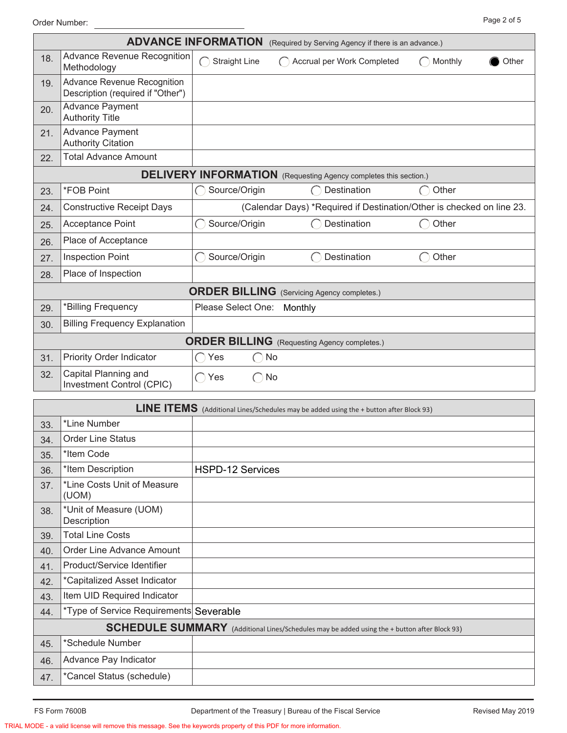Page 2 of 5 Order Number:

|     |                                                                  | <b>ADVANCE INFORMATION</b>                                            | (Required by Serving Agency if there is an advance.)                    |                  |  |  |  |  |
|-----|------------------------------------------------------------------|-----------------------------------------------------------------------|-------------------------------------------------------------------------|------------------|--|--|--|--|
| 18. | <b>Advance Revenue Recognition</b><br>Methodology                | <b>Straight Line</b>                                                  | Accrual per Work Completed                                              | Monthly<br>Other |  |  |  |  |
| 19. | Advance Revenue Recognition<br>Description (required if "Other") |                                                                       |                                                                         |                  |  |  |  |  |
| 20. | <b>Advance Payment</b><br><b>Authority Title</b>                 |                                                                       |                                                                         |                  |  |  |  |  |
| 21. | <b>Advance Payment</b><br><b>Authority Citation</b>              |                                                                       |                                                                         |                  |  |  |  |  |
| 22. | <b>Total Advance Amount</b>                                      |                                                                       |                                                                         |                  |  |  |  |  |
|     |                                                                  |                                                                       | <b>DELIVERY INFORMATION</b> (Requesting Agency completes this section.) |                  |  |  |  |  |
| 23. | *FOB Point                                                       | Source/Origin                                                         | <b>Destination</b>                                                      | Other            |  |  |  |  |
| 24. | <b>Constructive Receipt Days</b>                                 | (Calendar Days) *Required if Destination/Other is checked on line 23. |                                                                         |                  |  |  |  |  |
| 25. | Acceptance Point                                                 | Source/Origin                                                         | Destination                                                             | Other            |  |  |  |  |
| 26. | Place of Acceptance                                              |                                                                       |                                                                         |                  |  |  |  |  |
| 27. | <b>Inspection Point</b>                                          | Source/Origin                                                         | Destination                                                             | Other            |  |  |  |  |
| 28. | Place of Inspection                                              |                                                                       |                                                                         |                  |  |  |  |  |
|     |                                                                  |                                                                       | <b>ORDER BILLING</b> (Servicing Agency completes.)                      |                  |  |  |  |  |
| 29. | *Billing Frequency                                               | Please Select One:                                                    | Monthly                                                                 |                  |  |  |  |  |
| 30. | <b>Billing Frequency Explanation</b>                             |                                                                       |                                                                         |                  |  |  |  |  |
|     | <b>ORDER BILLING</b> (Requesting Agency completes.)              |                                                                       |                                                                         |                  |  |  |  |  |
| 31. | <b>Priority Order Indicator</b>                                  | Yes<br>$($ )<br>$\hspace{0.1cm} \rightarrow$                          | No                                                                      |                  |  |  |  |  |
| 32. | Capital Planning and<br>Investment Control (CPIC)                | $\bigcap$ Yes<br>$\left( \begin{array}{c} \end{array} \right)$        | No                                                                      |                  |  |  |  |  |
|     | I INE ITFMC                                                      |                                                                       |                                                                         |                  |  |  |  |  |

|     | LINE ITEMS (Additional Lines/Schedules may be added using the + button after Block 93)       |                         |  |  |  |  |  |  |
|-----|----------------------------------------------------------------------------------------------|-------------------------|--|--|--|--|--|--|
| 33. | *Line Number                                                                                 |                         |  |  |  |  |  |  |
| 34. | <b>Order Line Status</b>                                                                     |                         |  |  |  |  |  |  |
| 35. | *Item Code                                                                                   |                         |  |  |  |  |  |  |
| 36. | *Item Description                                                                            | <b>HSPD-12 Services</b> |  |  |  |  |  |  |
| 37. | *Line Costs Unit of Measure<br>(UOM)                                                         |                         |  |  |  |  |  |  |
| 38. | *Unit of Measure (UOM)<br>Description                                                        |                         |  |  |  |  |  |  |
| 39. | <b>Total Line Costs</b>                                                                      |                         |  |  |  |  |  |  |
| 40. | <b>Order Line Advance Amount</b>                                                             |                         |  |  |  |  |  |  |
| 41. | Product/Service Identifier                                                                   |                         |  |  |  |  |  |  |
| 42. | <i>*Capitalized Asset Indicator</i>                                                          |                         |  |  |  |  |  |  |
| 43. | Item UID Required Indicator                                                                  |                         |  |  |  |  |  |  |
| 44. | *Type of Service Requirements Severable                                                      |                         |  |  |  |  |  |  |
|     | SCHEDULE SUMMARY (Additional Lines/Schedules may be added using the + button after Block 93) |                         |  |  |  |  |  |  |
| 45. | *Schedule Number                                                                             |                         |  |  |  |  |  |  |
| 46. | Advance Pay Indicator                                                                        |                         |  |  |  |  |  |  |
| 47. | *Cancel Status (schedule)                                                                    |                         |  |  |  |  |  |  |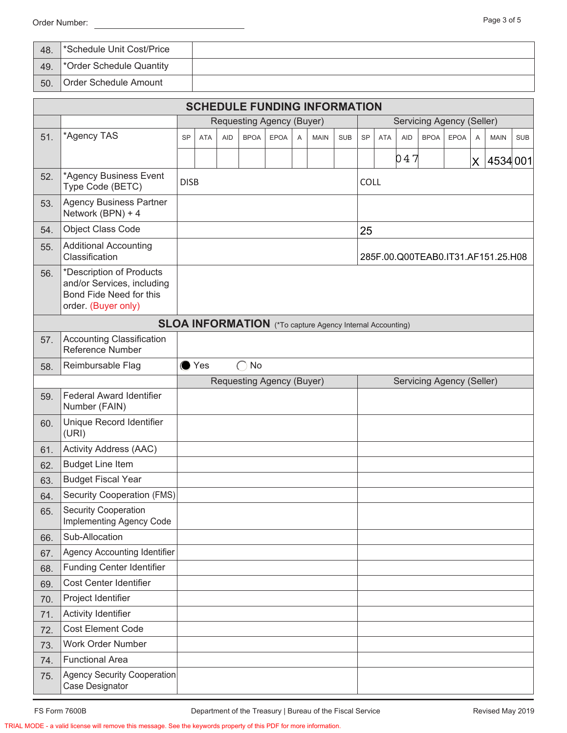Order Number: <u>Constantine and Constantine and Constantine and Constantine and Constantine and Constantine and Constantine and Constantine and Constantine and Constantine and Constantine and Constantine and Constantine and</u>

| 48. | *Schedule Unit Cost/Price            |  |
|-----|--------------------------------------|--|
| 49. | <sup>*</sup> Order Schedule Quantity |  |
| 50. | Order Schedule Amount                |  |

|     | <b>SCHEDULE FUNDING INFORMATION</b>                                                                      |                           |               |            |             |                                                                  |   |                           |            |                           |            |            |                                    |             |          |             |            |
|-----|----------------------------------------------------------------------------------------------------------|---------------------------|---------------|------------|-------------|------------------------------------------------------------------|---|---------------------------|------------|---------------------------|------------|------------|------------------------------------|-------------|----------|-------------|------------|
|     |                                                                                                          | Requesting Agency (Buyer) |               |            |             |                                                                  |   | Servicing Agency (Seller) |            |                           |            |            |                                    |             |          |             |            |
| 51. | *Agency TAS                                                                                              | <b>SP</b>                 | <b>ATA</b>    | <b>AID</b> | <b>BPOA</b> | <b>EPOA</b>                                                      | A | <b>MAIN</b>               | <b>SUB</b> | <b>SP</b>                 | <b>ATA</b> | <b>AID</b> | <b>BPOA</b>                        | <b>EPOA</b> | A        | <b>MAIN</b> | <b>SUB</b> |
|     |                                                                                                          |                           |               |            |             |                                                                  |   |                           |            |                           |            | 047        |                                    |             | $\times$ | 4534001     |            |
| 52. | *Agency Business Event<br>Type Code (BETC)                                                               | <b>DISB</b>               |               |            |             |                                                                  |   |                           |            | <b>COLL</b>               |            |            |                                    |             |          |             |            |
| 53. | <b>Agency Business Partner</b><br>Network (BPN) + 4                                                      |                           |               |            |             |                                                                  |   |                           |            |                           |            |            |                                    |             |          |             |            |
| 54. | <b>Object Class Code</b>                                                                                 |                           |               |            |             |                                                                  |   |                           |            | 25                        |            |            |                                    |             |          |             |            |
| 55. | <b>Additional Accounting</b><br>Classification                                                           |                           |               |            |             |                                                                  |   |                           |            |                           |            |            | 285F.00.Q00TEAB0.IT31.AF151.25.H08 |             |          |             |            |
| 56. | *Description of Products<br>and/or Services, including<br>Bond Fide Need for this<br>order. (Buyer only) |                           |               |            |             |                                                                  |   |                           |            |                           |            |            |                                    |             |          |             |            |
|     |                                                                                                          |                           |               |            |             | <b>SLOA INFORMATION</b> (*To capture Agency Internal Accounting) |   |                           |            |                           |            |            |                                    |             |          |             |            |
| 57. | <b>Accounting Classification</b><br><b>Reference Number</b>                                              |                           |               |            |             |                                                                  |   |                           |            |                           |            |            |                                    |             |          |             |            |
| 58. | Reimbursable Flag                                                                                        |                           | $\bullet$ Yes |            | No          |                                                                  |   |                           |            |                           |            |            |                                    |             |          |             |            |
|     |                                                                                                          |                           |               |            |             | Requesting Agency (Buyer)                                        |   |                           |            | Servicing Agency (Seller) |            |            |                                    |             |          |             |            |
| 59. | <b>Federal Award Identifier</b><br>Number (FAIN)                                                         |                           |               |            |             |                                                                  |   |                           |            |                           |            |            |                                    |             |          |             |            |
| 60. | Unique Record Identifier<br>(URI)                                                                        |                           |               |            |             |                                                                  |   |                           |            |                           |            |            |                                    |             |          |             |            |
| 61. | Activity Address (AAC)                                                                                   |                           |               |            |             |                                                                  |   |                           |            |                           |            |            |                                    |             |          |             |            |
| 62. | <b>Budget Line Item</b>                                                                                  |                           |               |            |             |                                                                  |   |                           |            |                           |            |            |                                    |             |          |             |            |
| 63. | <b>Budget Fiscal Year</b>                                                                                |                           |               |            |             |                                                                  |   |                           |            |                           |            |            |                                    |             |          |             |            |
| 64. | <b>Security Cooperation (FMS)</b>                                                                        |                           |               |            |             |                                                                  |   |                           |            |                           |            |            |                                    |             |          |             |            |
| 65. | <b>Security Cooperation</b><br>Implementing Agency Code                                                  |                           |               |            |             |                                                                  |   |                           |            |                           |            |            |                                    |             |          |             |            |
| 66. | Sub-Allocation                                                                                           |                           |               |            |             |                                                                  |   |                           |            |                           |            |            |                                    |             |          |             |            |
| 67. | Agency Accounting Identifier                                                                             |                           |               |            |             |                                                                  |   |                           |            |                           |            |            |                                    |             |          |             |            |
| 68. | <b>Funding Center Identifier</b>                                                                         |                           |               |            |             |                                                                  |   |                           |            |                           |            |            |                                    |             |          |             |            |
| 69. | Cost Center Identifier                                                                                   |                           |               |            |             |                                                                  |   |                           |            |                           |            |            |                                    |             |          |             |            |
| 70. | Project Identifier                                                                                       |                           |               |            |             |                                                                  |   |                           |            |                           |            |            |                                    |             |          |             |            |
| 71. | <b>Activity Identifier</b>                                                                               |                           |               |            |             |                                                                  |   |                           |            |                           |            |            |                                    |             |          |             |            |
| 72. | Cost Element Code                                                                                        |                           |               |            |             |                                                                  |   |                           |            |                           |            |            |                                    |             |          |             |            |
| 73. | <b>Work Order Number</b>                                                                                 |                           |               |            |             |                                                                  |   |                           |            |                           |            |            |                                    |             |          |             |            |
| 74. | <b>Functional Area</b>                                                                                   |                           |               |            |             |                                                                  |   |                           |            |                           |            |            |                                    |             |          |             |            |
| 75. | <b>Agency Security Cooperation</b><br>Case Designator                                                    |                           |               |            |             |                                                                  |   |                           |            |                           |            |            |                                    |             |          |             |            |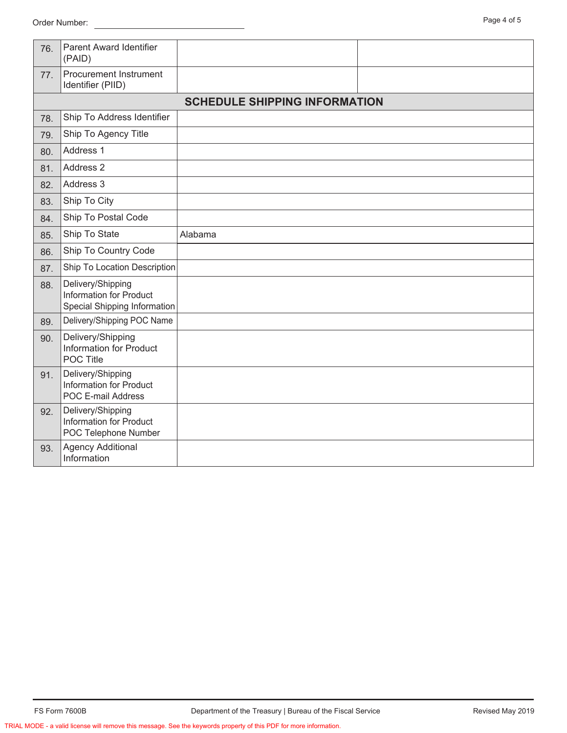| 76. | <b>Parent Award Identifier</b><br>(PAID)                                     |                                      |  |
|-----|------------------------------------------------------------------------------|--------------------------------------|--|
| 77. | Procurement Instrument<br>Identifier (PIID)                                  |                                      |  |
|     |                                                                              | <b>SCHEDULE SHIPPING INFORMATION</b> |  |
| 78. | Ship To Address Identifier                                                   |                                      |  |
| 79. | Ship To Agency Title                                                         |                                      |  |
| 80. | Address 1                                                                    |                                      |  |
| 81. | Address 2                                                                    |                                      |  |
| 82. | Address 3                                                                    |                                      |  |
| 83. | Ship To City                                                                 |                                      |  |
| 84. | Ship To Postal Code                                                          |                                      |  |
| 85. | Ship To State                                                                | Alabama                              |  |
| 86. | Ship To Country Code                                                         |                                      |  |
| 87. | Ship To Location Description                                                 |                                      |  |
| 88. | Delivery/Shipping<br>Information for Product<br>Special Shipping Information |                                      |  |
| 89. | Delivery/Shipping POC Name                                                   |                                      |  |
| 90. | Delivery/Shipping<br><b>Information for Product</b><br><b>POC Title</b>      |                                      |  |
| 91. | Delivery/Shipping<br>Information for Product<br>POC E-mail Address           |                                      |  |
| 92. | Delivery/Shipping<br><b>Information for Product</b><br>POC Telephone Number  |                                      |  |
| 93. | <b>Agency Additional</b><br>Information                                      |                                      |  |